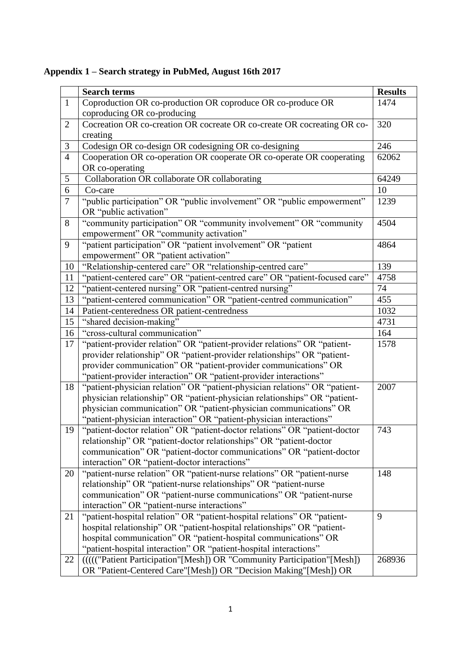|                | <b>Search terms</b>                                                                                                                              | <b>Results</b> |
|----------------|--------------------------------------------------------------------------------------------------------------------------------------------------|----------------|
| $\mathbf{1}$   | Coproduction OR co-production OR coproduce OR co-produce OR                                                                                      | 1474           |
|                | coproducing OR co-producing                                                                                                                      |                |
| $\overline{2}$ | Cocreation OR co-creation OR cocreate OR co-create OR cocreating OR co-                                                                          | 320            |
|                | creating                                                                                                                                         |                |
| $\mathfrak{Z}$ | Codesign OR co-design OR codesigning OR co-designing                                                                                             | 246            |
| $\overline{4}$ | Cooperation OR co-operation OR cooperate OR co-operate OR cooperating                                                                            | 62062          |
|                | OR co-operating                                                                                                                                  |                |
| 5              | Collaboration OR collaborate OR collaborating                                                                                                    | 64249          |
| 6              | Co-care                                                                                                                                          | 10             |
| $\overline{7}$ | "public participation" OR "public involvement" OR "public empowerment"                                                                           | 1239           |
|                | OR "public activation"                                                                                                                           |                |
| 8              | "community participation" OR "community involvement" OR "community                                                                               | 4504           |
|                | empowerment" OR "community activation"                                                                                                           |                |
| 9              | "patient participation" OR "patient involvement" OR "patient                                                                                     | 4864           |
|                | empowerment" OR "patient activation"                                                                                                             |                |
| 10             | "Relationship-centered care" OR "relationship-centred care"                                                                                      | 139            |
| 11             | "patient-centered care" OR "patient-centred care" OR "patient-focused care"                                                                      | 4758           |
| 12             | "patient-centered nursing" OR "patient-centred nursing"                                                                                          | 74             |
| 13             | "patient-centered communication" OR "patient-centred communication"                                                                              | 455            |
| 14             | Patient-centeredness OR patient-centredness                                                                                                      | 1032           |
| 15             | "shared decision-making"                                                                                                                         | 4731           |
| 16             | "cross-cultural communication"                                                                                                                   | 164            |
| 17             | "patient-provider relation" OR "patient-provider relations" OR "patient-                                                                         | 1578           |
|                | provider relationship" OR "patient-provider relationships" OR "patient-                                                                          |                |
|                | provider communication" OR "patient-provider communications" OR                                                                                  |                |
|                | "patient-provider interaction" OR "patient-provider interactions"                                                                                |                |
| 18             | "patient-physician relation" OR "patient-physician relations" OR "patient-                                                                       | 2007           |
|                | physician relationship" OR "patient-physician relationships" OR "patient-                                                                        |                |
|                | physician communication" OR "patient-physician communications" OR                                                                                |                |
| 19             | "patient-physician interaction" OR "patient-physician interactions"                                                                              | 743            |
|                | "patient-doctor relation" OR "patient-doctor relations" OR "patient-doctor<br>relationship" OR "patient-doctor relationships" OR "patient-doctor |                |
|                | communication" OR "patient-doctor communications" OR "patient-doctor                                                                             |                |
|                | interaction" OR "patient-doctor interactions"                                                                                                    |                |
| 20             | "patient-nurse relation" OR "patient-nurse relations" OR "patient-nurse                                                                          | 148            |
|                | relationship" OR "patient-nurse relationships" OR "patient-nurse                                                                                 |                |
|                | communication" OR "patient-nurse communications" OR "patient-nurse                                                                               |                |
|                | interaction" OR "patient-nurse interactions"                                                                                                     |                |
| 21             | "patient-hospital relation" OR "patient-hospital relations" OR "patient-                                                                         | 9              |
|                | hospital relationship" OR "patient-hospital relationships" OR "patient-                                                                          |                |
|                | hospital communication" OR "patient-hospital communications" OR                                                                                  |                |
|                | "patient-hospital interaction" OR "patient-hospital interactions"                                                                                |                |
| 22             | ((((("Patient Participation"[Mesh]) OR "Community Participation"[Mesh])                                                                          | 268936         |
|                | OR "Patient-Centered Care"[Mesh]) OR "Decision Making"[Mesh]) OR                                                                                 |                |

**Appendix 1 – Search strategy in PubMed, August 16th 2017**